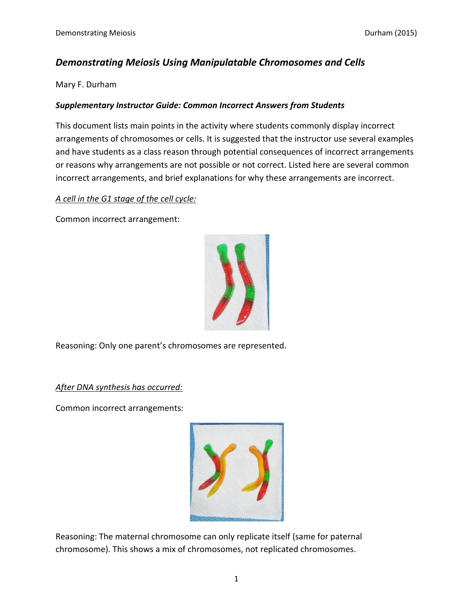## *Demonstrating Meiosis Using Manipulatable Chromosomes and Cells*

Mary F. Durham

## *Supplementary Instructor Guide: Common Incorrect Answers from Students*

This document lists main points in the activity where students commonly display incorrect arrangements of chromosomes or cells. It is suggested that the instructor use several examples and have students as a class reason through potential consequences of incorrect arrangements or reasons why arrangements are not possible or not correct. Listed here are several common incorrect arrangements, and brief explanations for why these arrangements are incorrect.

## *A cell in the G1 stage of the cell cycle:*

Common incorrect arrangement:



Reasoning: Only one parent's chromosomes are represented.

*After DNA synthesis has occurred:*

Common incorrect arrangements:



Reasoning: The maternal chromosome can only replicate itself (same for paternal chromosome). This shows a mix of chromosomes, not replicated chromosomes.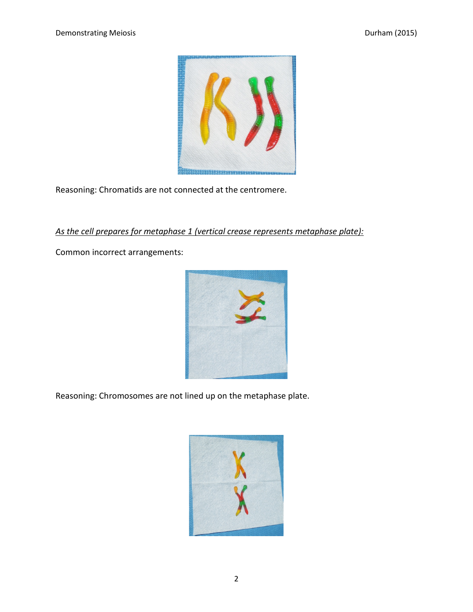

Reasoning: Chromatids are not connected at the centromere.

## *As the cell prepares for metaphase 1 (vertical crease represents metaphase plate):*

Common incorrect arrangements:



Reasoning: Chromosomes are not lined up on the metaphase plate.